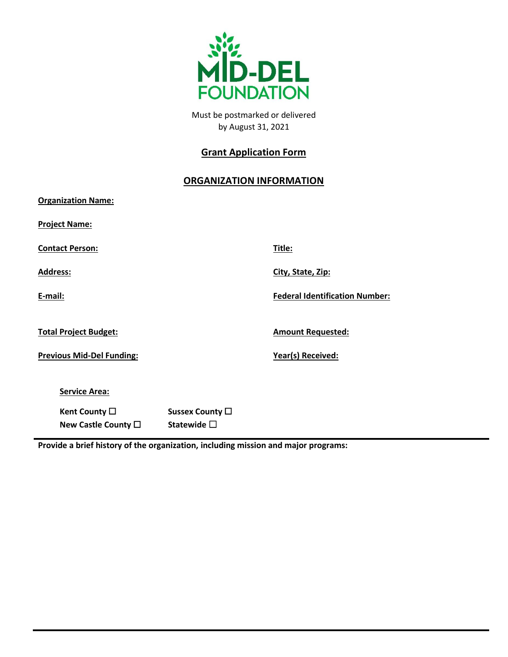

Must bepostmarkedor delivered by August 31, 202î

# **Grant Application Form**

## **ORGANIZATION INFORMATION**

| Organization Name:                                    |                              |                                        |
|-------------------------------------------------------|------------------------------|----------------------------------------|
| Project Name:                                         |                              |                                        |
| <u> Contact Person:</u>                               |                              | Title:                                 |
| Address:                                              |                              | City, State, Zip:                      |
| E-mail:                                               |                              | <b>Federal Identification Number:</b>  |
| Total Project Budget:<br>Previous Mid-Del Funding:    |                              | Amount Requested:<br>Year(s) Received: |
| Service Area:<br>Kent County •<br>New Castle County . | Sussex County .<br>Statewide |                                        |

**Provide a brief history of the organization, including mission and major programs:**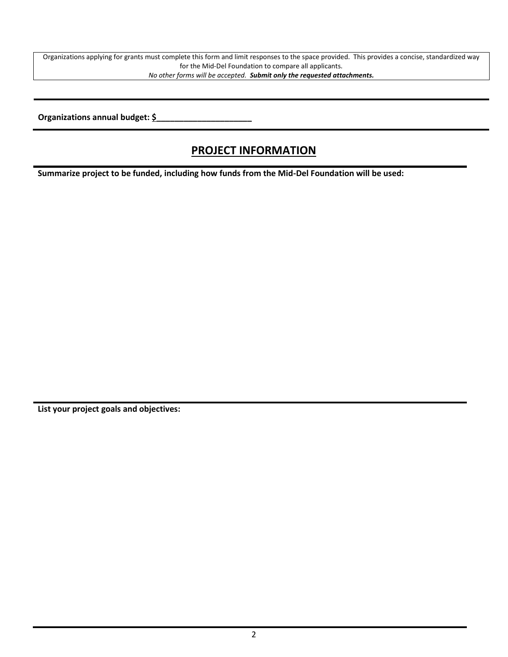Organizations applying for grants must complete this form and limit responses to the space provided. This provides a concise, standardized way for the Mid-Del Foundation to compare all applicants. *No other forms will be accepted. Submit only the requested attachments.*

**Organizations annual budget: \$\_\_\_\_\_\_\_\_\_\_\_\_\_\_\_\_\_\_\_\_\_**

# **PROJECT INFORMATION**

**Summarize project to be funded, including how funds from the Mid-Del Foundation will be used:**

**List your project goals and objectives:**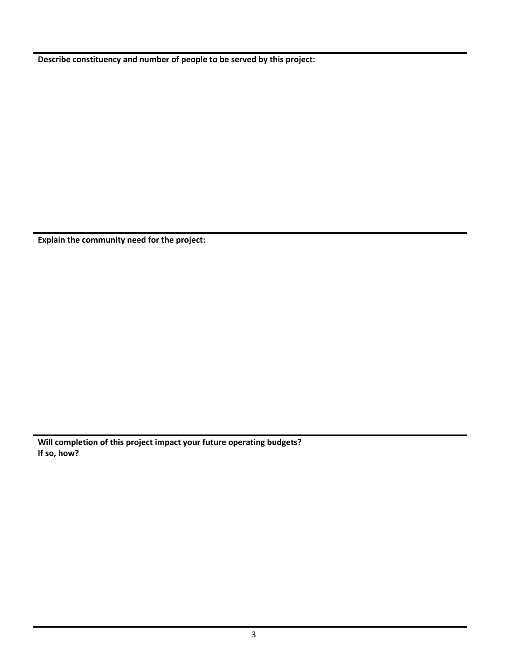**Describe constituency and number of people to be served by this project:**

**Explain the community need for the project:**

**Will completion of this project impact your future operating budgets? If so, how?**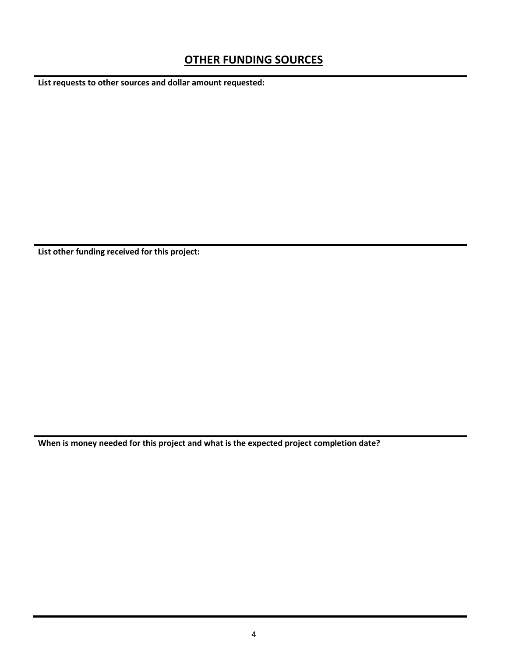## **OTHER FUNDING SOURCES**

**List requests to other sources and dollar amount requested:**

**List other funding received for this project:**

**When is money needed for this project and what is the expected project completion date?**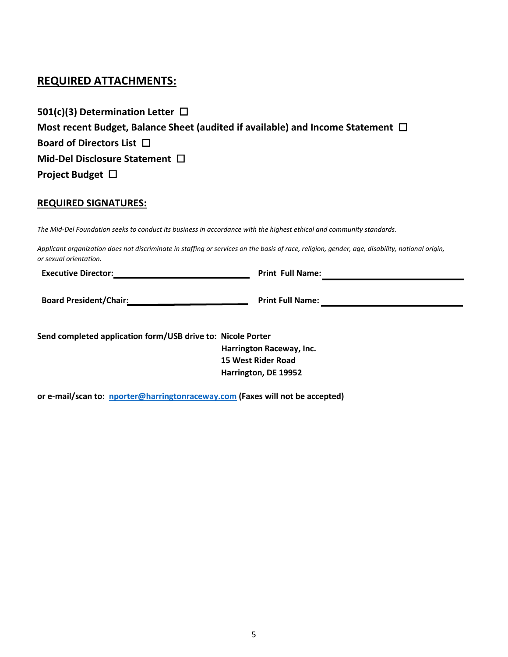### **REQUIRED ATTACHMENTS:**

| 501(c)(3) Determination Letter $\Box$                                                |
|--------------------------------------------------------------------------------------|
| Most recent Budget, Balance Sheet (audited if available) and Income Statement $\Box$ |
| Board of Directors List $\Box$                                                       |
| Mid-Del Disclosure Statement $\Box$                                                  |
| Project Budget $\Box$                                                                |

#### **REQUIRED SIGNATURES:**

*The Mid-Del Foundation seeks to conduct its business in accordance with the highest ethical and community standards.*

*Applicant organization does not discriminate in staffing or services on the basis of race, religion, gender, age, disability, national origin, or sexual orientation.*

**Executive Director: Print Full Name:**

**Board President/Chair: Print Full Name: Print Full Name: Print Full Name: Print Full Name: Print Full Name: Print Full Name: Print Full Name: Print Full Name: Print Full Name: Print Full Name: Print** 

**Send completed application form/USB drive to: Nicole Boone**

 **Harrington Raceway, Inc. 15 West Rider Road Harrington, DE 19952**

**or e-mail/scan to: [nboone@harringtonraceway.com \(](mailto:nporter@harringtonraceway.com)Faxes will not be accepted)**